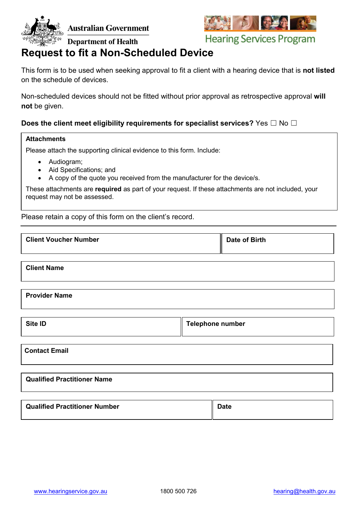

**Australian Government** 



**Department of Health** 

# **Request to fit a Non-Scheduled Device**

This form is to be used when seeking approval to fit a client with a hearing device that is **not listed** on the schedule of devices.

Non-scheduled devices should not be fitted without prior approval as retrospective approval **will not** be given.

## **Does the client meet eligibility requirements for specialist services?** Yes □ No □

### **Attachments**

Please attach the supporting clinical evidence to this form. Include:

- Audiogram;
- Aid Specifications; and
- A copy of the quote you received from the manufacturer for the device/s.

These attachments are **required** as part of your request. If these attachments are not included, your request may not be assessed.

Please retain a copy of this form on the client's record.

| <b>Client Voucher Number</b> | Date of Birth |
|------------------------------|---------------|
|                              |               |

**Client Name**

**Provider Name**

| <b>Site ID</b> | <b>Telephone number</b> |
|----------------|-------------------------|
|                |                         |

**Contact Email**

| <b>Qualified Practitioner Name</b> |  |
|------------------------------------|--|
|                                    |  |

| <b>Qualified Practitioner Number</b> | <b>Date</b> |
|--------------------------------------|-------------|
|                                      |             |